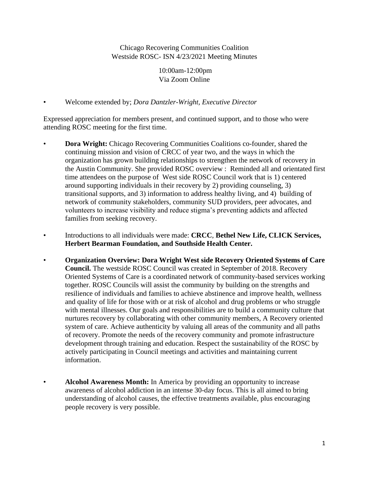Chicago Recovering Communities Coalition Westside ROSC- ISN 4/23/2021 Meeting Minutes

> 10:00am-12:00pm Via Zoom Online

• Welcome extended by; *Dora Dantzler-Wright, Executive Director*

Expressed appreciation for members present, and continued support, and to those who were attending ROSC meeting for the first time.

- **Dora Wright:** Chicago Recovering Communities Coalitions co-founder, shared the continuing mission and vision of CRCC of year two, and the ways in which the organization has grown building relationships to strengthen the network of recovery in the Austin Community. She provided ROSC overview : Reminded all and orientated first time attendees on the purpose of West side ROSC Council work that is 1) centered around supporting individuals in their recovery by 2) providing counseling, 3) transitional supports, and 3) information to address healthy living, and 4) building of network of community stakeholders, community SUD providers, peer advocates, and volunteers to increase visibility and reduce stigma's preventing addicts and affected families from seeking recovery.
- Introductions to all individuals were made: **CRCC**, **Bethel New Life, CLICK Services, Herbert Bearman Foundation, and Southside Health Center.**
- **Organization Overview: Dora Wright West side Recovery Oriented Systems of Care Council.** The westside ROSC Council was created in September of 2018. Recovery Oriented Systems of Care is a coordinated network of community-based services working together. ROSC Councils will assist the community by building on the strengths and resilience of individuals and families to achieve abstinence and improve health, wellness and quality of life for those with or at risk of alcohol and drug problems or who struggle with mental illnesses. Our goals and responsibilities are to build a community culture that nurtures recovery by collaborating with other community members, A Recovery oriented system of care. Achieve authenticity by valuing all areas of the community and all paths of recovery. Promote the needs of the recovery community and promote infrastructure development through training and education. Respect the sustainability of the ROSC by actively participating in Council meetings and activities and maintaining current information.
	- **Alcohol Awareness Month:** In America by providing an opportunity to increase awareness of alcohol addiction in an intense 30-day focus. This is all aimed to bring understanding of alcohol causes, the effective treatments available, plus encouraging people recovery is very possible.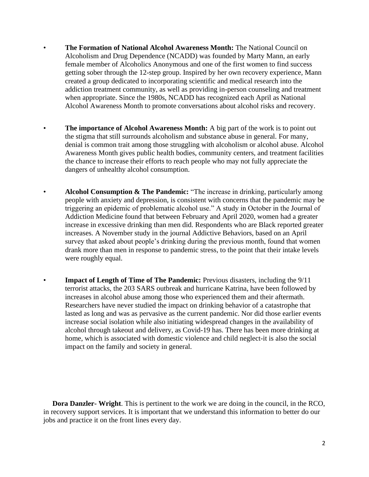- **The Formation of National Alcohol Awareness Month:** The National Council on Alcoholism and Drug Dependence (NCADD) was founded by Marty Mann, an early female member of Alcoholics Anonymous and one of the first women to find success getting sober through the 12-step group. Inspired by her own recovery experience, Mann created a group dedicated to incorporating scientific and medical research into the addiction treatment community, as well as providing in-person counseling and treatment when appropriate. Since the 1980s, NCADD has recognized each April as National Alcohol Awareness Month to promote conversations about alcohol risks and recovery.
- **The importance of Alcohol Awareness Month:** A big part of the work is to point out the stigma that still surrounds alcoholism and substance abuse in general. For many, denial is common trait among those struggling with alcoholism or alcohol abuse. Alcohol Awareness Month gives public health bodies, community centers, and treatment facilities the chance to increase their efforts to reach people who may not fully appreciate the dangers of unhealthy alcohol consumption.
- **Alcohol Consumption & The Pandemic:** "The increase in drinking, particularly among people with anxiety and depression, is consistent with concerns that the pandemic may be triggering an epidemic of problematic alcohol use." A study in October in the Journal of Addiction Medicine found that between February and April 2020, women had a greater increase in excessive drinking than men did. Respondents who are Black reported greater increases. A November study in the journal Addictive Behaviors, based on an April survey that asked about people's drinking during the previous month, found that women drank more than men in response to pandemic stress, to the point that their intake levels were roughly equal.
- **Impact of Length of Time of The Pandemic:** Previous disasters, including the 9/11 terrorist attacks, the 203 SARS outbreak and hurricane Katrina, have been followed by increases in alcohol abuse among those who experienced them and their aftermath. Researchers have never studied the impact on drinking behavior of a catastrophe that lasted as long and was as pervasive as the current pandemic. Nor did those earlier events increase social isolation while also initiating widespread changes in the availability of alcohol through takeout and delivery, as Covid-19 has. There has been more drinking at home, which is associated with domestic violence and child neglect-it is also the social impact on the family and society in general.

 **Dora Danzler- Wright**. This is pertinent to the work we are doing in the council, in the RCO, in recovery support services. It is important that we understand this information to better do our jobs and practice it on the front lines every day.